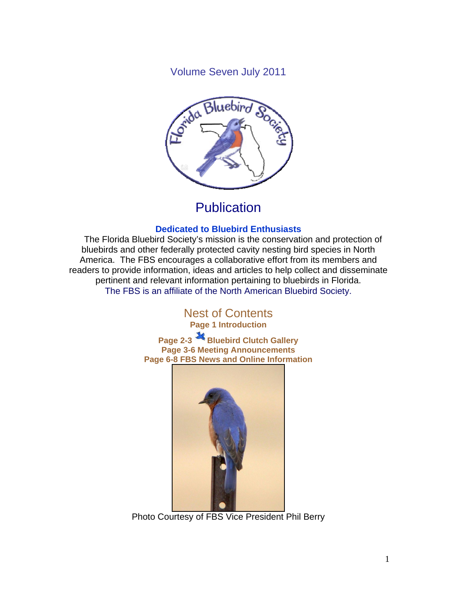Volume Seven July 2011



# **Publication**

### **Dedicated to Bluebird Enthusiasts**

 The Florida Bluebird Society's mission is the conservation and protection of bluebirds and other federally protected cavity nesting bird species in North America. The FBS encourages a collaborative effort from its members and readers to provide information, ideas and articles to help collect and disseminate pertinent and relevant information pertaining to bluebirds in Florida. The FBS is an affiliate of the North American Bluebird Society.

## Nest of Contents **Page 1 Introduction**

**Page 2-3 Bluebird Clutch Gallery Page 3-6 Meeting Announcements Page 6-8 FBS News and Online Information** 



Photo Courtesy of FBS Vice President Phil Berry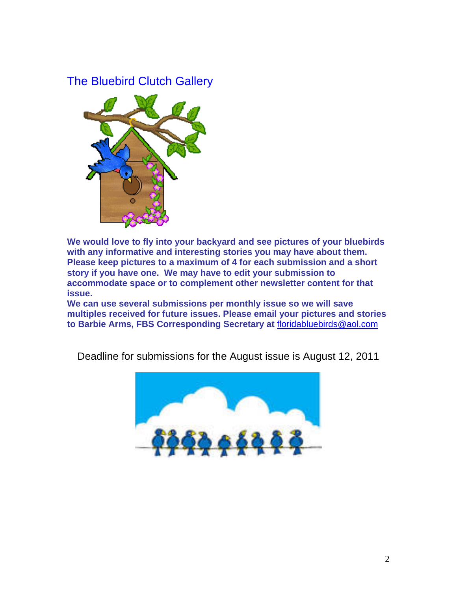## The Bluebird Clutch Gallery



**We would love to fly into your backyard and see pictures of your bluebirds with any informative and interesting stories you may have about them. Please keep pictures to a maximum of 4 for each submission and a short story if you have one. We may have to edit your submission to accommodate space or to complement other newsletter content for that issue.** 

**We can use several submissions per monthly issue so we will save multiples received for future issues. Please email your pictures and stories to Barbie Arms, FBS Corresponding Secretary at** floridabluebirds@aol.com

Deadline for submissions for the August issue is August 12, 2011

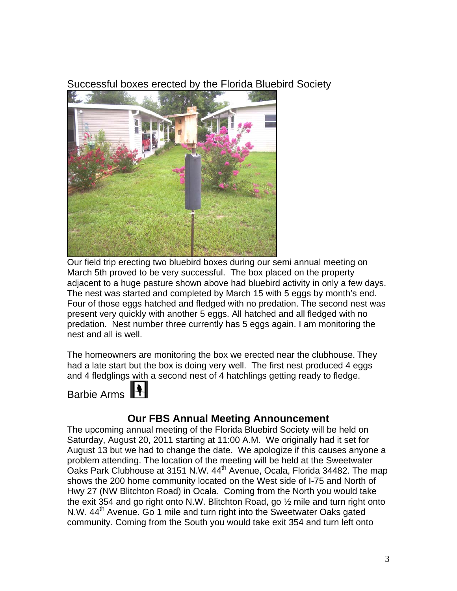Successful boxes erected by the Florida Bluebird Society



Our field trip erecting two bluebird boxes during our semi annual meeting on March 5th proved to be very successful. The box placed on the property adjacent to a huge pasture shown above had bluebird activity in only a few days. The nest was started and completed by March 15 with 5 eggs by month's end. Four of those eggs hatched and fledged with no predation. The second nest was present very quickly with another 5 eggs. All hatched and all fledged with no predation. Nest number three currently has 5 eggs again. I am monitoring the nest and all is well.

The homeowners are monitoring the box we erected near the clubhouse. They had a late start but the box is doing very well. The first nest produced 4 eggs and 4 fledglings with a second nest of 4 hatchlings getting ready to fledge.

Barbie Arms

## **Our FBS Annual Meeting Announcement**

The upcoming annual meeting of the Florida Bluebird Society will be held on Saturday, August 20, 2011 starting at 11:00 A.M. We originally had it set for August 13 but we had to change the date. We apologize if this causes anyone a problem attending. The location of the meeting will be held at the Sweetwater Oaks Park Clubhouse at 3151 N.W. 44<sup>th</sup> Avenue, Ocala, Florida 34482. The map shows the 200 home community located on the West side of I-75 and North of Hwy 27 (NW Blitchton Road) in Ocala. Coming from the North you would take the exit 354 and go right onto N.W. Blitchton Road, go  $\frac{1}{2}$  mile and turn right onto N.W. 44<sup>th</sup> Avenue. Go 1 mile and turn right into the Sweetwater Oaks gated community. Coming from the South you would take exit 354 and turn left onto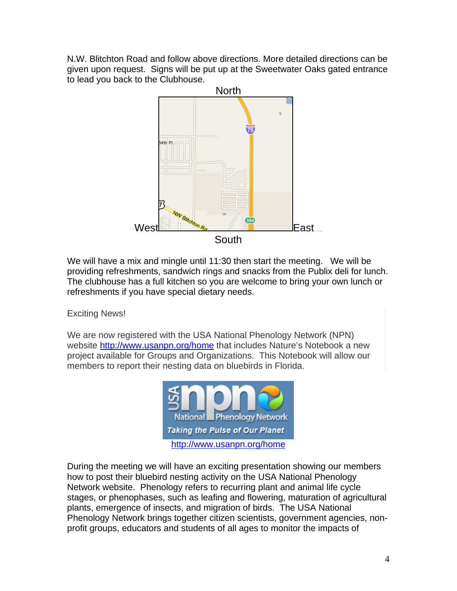N.W. Blitchton Road and follow above directions. More detailed directions can be given upon request. Signs will be put up at the Sweetwater Oaks gated entrance to lead you back to the Clubhouse.



We will have a mix and mingle until 11:30 then start the meeting. We will be providing refreshments, sandwich rings and snacks from the Publix deli for lunch. The clubhouse has a full kitchen so you are welcome to bring your own lunch or refreshments if you have special dietary needs.

#### Exciting News!

We are now registered with the USA National Phenology Network (NPN) website http://www.usanpn.org/home that includes Nature's Notebook a new project available for Groups and Organizations. This Notebook will allow our members to report their nesting data on bluebirds in Florida.



During the meeting we will have an exciting presentation showing our members how to post their bluebird nesting activity on the USA National Phenology Network website. Phenology refers to recurring plant and animal life cycle stages, or phenophases, such as leafing and flowering, maturation of agricultural plants, emergence of insects, and migration of birds. The USA National Phenology Network brings together citizen scientists, government agencies, nonprofit groups, educators and students of all ages to monitor the impacts of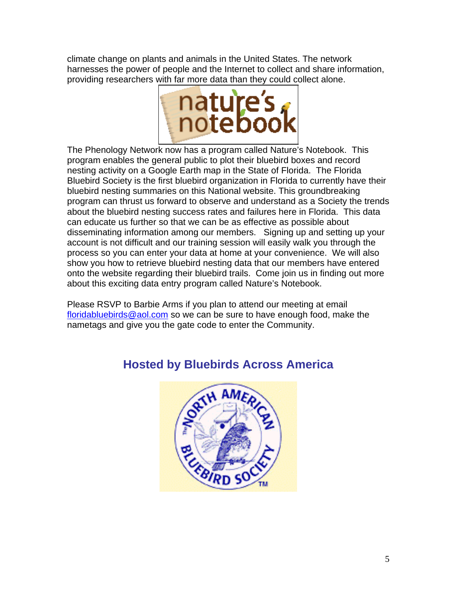climate change on plants and animals in the United States. The network harnesses the power of people and the Internet to collect and share information, providing researchers with far more data than they could collect alone.



The Phenology Network now has a program called Nature's Notebook. This program enables the general public to plot their bluebird boxes and record nesting activity on a Google Earth map in the State of Florida. The Florida Bluebird Society is the first bluebird organization in Florida to currently have their bluebird nesting summaries on this National website. This groundbreaking program can thrust us forward to observe and understand as a Society the trends about the bluebird nesting success rates and failures here in Florida. This data can educate us further so that we can be as effective as possible about disseminating information among our members. Signing up and setting up your account is not difficult and our training session will easily walk you through the process so you can enter your data at home at your convenience. We will also show you how to retrieve bluebird nesting data that our members have entered onto the website regarding their bluebird trails. Come join us in finding out more about this exciting data entry program called Nature's Notebook.

Please RSVP to Barbie Arms if you plan to attend our meeting at email floridabluebirds@aol.com so we can be sure to have enough food, make the nametags and give you the gate code to enter the Community.



# **Hosted by Bluebirds Across America**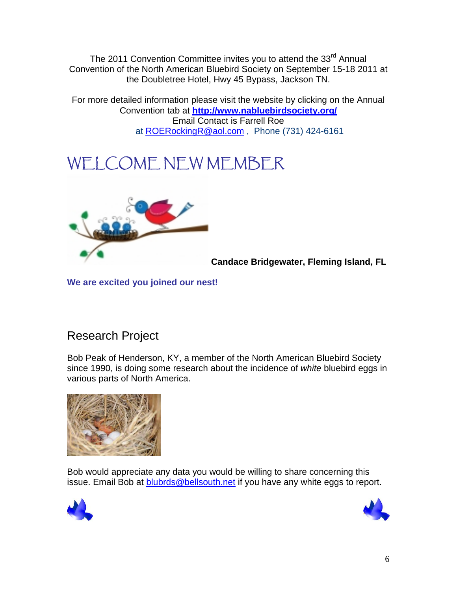The 2011 Convention Committee invites you to attend the 33<sup>rd</sup> Annual Convention of the North American Bluebird Society on September 15-18 2011 at the Doubletree Hotel, Hwy 45 Bypass, Jackson TN.

For more detailed information please visit the website by clicking on the Annual Convention tab at **http://www.nabluebirdsociety.org/** Email Contact is Farrell Roe at ROERockingR@aol.com, Phone (731) 424-6161

# WELCOME NEW MEMBER



**Candace Bridgewater, Fleming Island, FL** 

**We are excited you joined our nest!** 

# Research Project

Bob Peak of Henderson, KY, a member of the North American Bluebird Society since 1990, is doing some research about the incidence of *white* bluebird eggs in various parts of North America.



Bob would appreciate any data you would be willing to share concerning this issue. Email Bob at blubrds@bellsouth.net if you have any white eggs to report.



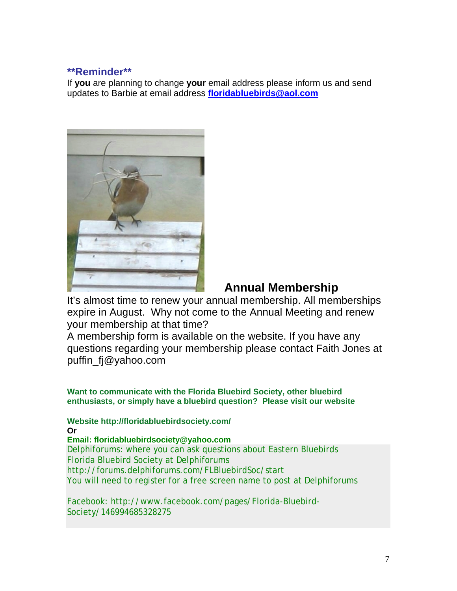#### **\*\*Reminder\*\***

If **you** are planning to change **your** email address please inform us and send updates to Barbie at email address **floridabluebirds@aol.com**



## **Annual Membership**

It's almost time to renew your annual membership. All memberships expire in August. Why not come to the Annual Meeting and renew your membership at that time?

A membership form is available on the website. If you have any questions regarding your membership please contact Faith Jones at puffin\_fj@yahoo.com

**Want to communicate with the Florida Bluebird Society, other bluebird enthusiasts, or simply have a bluebird question? Please visit our website** 

**Website http://floridabluebirdsociety.com/ Or** 

**Email: floridabluebirdsociety@yahoo.com**  Delphiforums: where you can ask questions about Eastern Bluebirds Florida Bluebird Society at Delphiforums http://forums.delphiforums.com/FLBluebirdSoc/start You will need to register for a free screen name to post at Delphiforums

Facebook: http://www.facebook.com/pages/Florida-Bluebird-Society/146994685328275